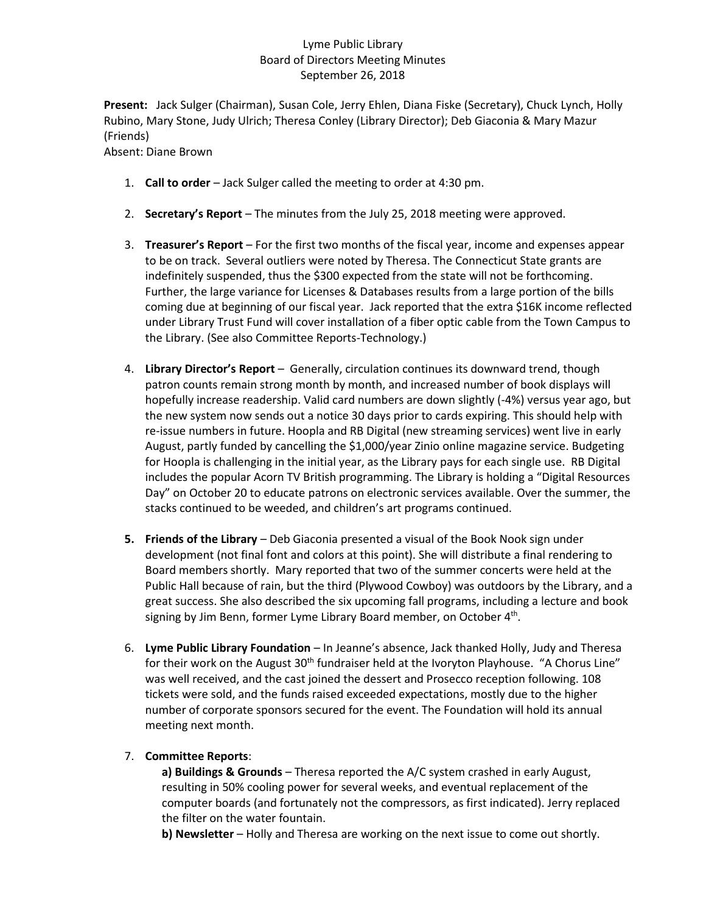## Lyme Public Library Board of Directors Meeting Minutes September 26, 2018

**Present:** Jack Sulger (Chairman), Susan Cole, Jerry Ehlen, Diana Fiske (Secretary), Chuck Lynch, Holly Rubino, Mary Stone, Judy Ulrich; Theresa Conley (Library Director); Deb Giaconia & Mary Mazur (Friends)

Absent: Diane Brown

- 1. **Call to order** Jack Sulger called the meeting to order at 4:30 pm.
- 2. **Secretary's Report** The minutes from the July 25, 2018 meeting were approved.
- 3. **Treasurer's Report** For the first two months of the fiscal year, income and expenses appear to be on track. Several outliers were noted by Theresa. The Connecticut State grants are indefinitely suspended, thus the \$300 expected from the state will not be forthcoming. Further, the large variance for Licenses & Databases results from a large portion of the bills coming due at beginning of our fiscal year. Jack reported that the extra \$16K income reflected under Library Trust Fund will cover installation of a fiber optic cable from the Town Campus to the Library. (See also Committee Reports-Technology.)
- 4. **Library Director's Report** Generally, circulation continues its downward trend, though patron counts remain strong month by month, and increased number of book displays will hopefully increase readership. Valid card numbers are down slightly (-4%) versus year ago, but the new system now sends out a notice 30 days prior to cards expiring. This should help with re-issue numbers in future. Hoopla and RB Digital (new streaming services) went live in early August, partly funded by cancelling the \$1,000/year Zinio online magazine service. Budgeting for Hoopla is challenging in the initial year, as the Library pays for each single use. RB Digital includes the popular Acorn TV British programming. The Library is holding a "Digital Resources Day" on October 20 to educate patrons on electronic services available. Over the summer, the stacks continued to be weeded, and children's art programs continued.
- **5. Friends of the Library**  Deb Giaconia presented a visual of the Book Nook sign under development (not final font and colors at this point). She will distribute a final rendering to Board members shortly. Mary reported that two of the summer concerts were held at the Public Hall because of rain, but the third (Plywood Cowboy) was outdoors by the Library, and a great success. She also described the six upcoming fall programs, including a lecture and book signing by Jim Benn, former Lyme Library Board member, on October 4<sup>th</sup>.
- 6. **Lyme Public Library Foundation** In Jeanne's absence, Jack thanked Holly, Judy and Theresa for their work on the August 30<sup>th</sup> fundraiser held at the Ivoryton Playhouse. "A Chorus Line" was well received, and the cast joined the dessert and Prosecco reception following. 108 tickets were sold, and the funds raised exceeded expectations, mostly due to the higher number of corporate sponsors secured for the event. The Foundation will hold its annual meeting next month.

## 7. **Committee Reports**:

**a) Buildings & Grounds** – Theresa reported the A/C system crashed in early August, resulting in 50% cooling power for several weeks, and eventual replacement of the computer boards (and fortunately not the compressors, as first indicated). Jerry replaced the filter on the water fountain.

**b) Newsletter** – Holly and Theresa are working on the next issue to come out shortly.